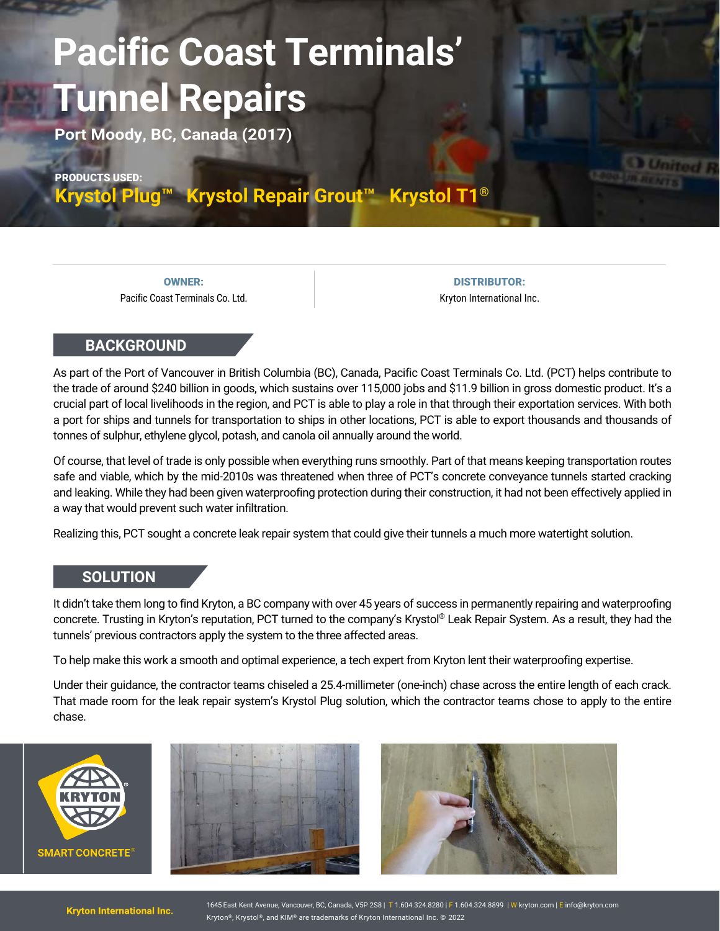## **Pacific Coast Terminals' Tunnel Repairs**

**Port Moody, BC, Canada (2017)**

PRODUCTS USED:

**[Krystol Plug™](https://www.kryton.com/products/krystol-plug/) [Krystol Repair Grout™](https://www.kryton.com/products/krystol-repair-grout/) [Krystol T1®](https://www.kryton.com/products/krystol-t1/)** 

OWNER: Pacific Coast Terminals Co. Ltd.

DISTRIBUTOR: Kryton International Inc.

## **BACKGROUND**

As part of the Port of Vancouver in British Columbia (BC), Canada, Pacific Coast Terminals Co. Ltd. (PCT) helps contribute to the trade of around \$240 billion in goods, which sustains over 115,000 jobs and \$11.9 billion in gross domestic product. It's a crucial part of local livelihoods in the region, and PCT is able to play a role in that through their exportation services. With both a port for ships and tunnels for transportation to ships in other locations, PCT is able to export thousands and thousands of tonnes of sulphur, ethylene glycol, potash, and canola oil annually around the world.

Of course, that level of trade is only possible when everything runs smoothly. Part of that means keeping transportation routes safe and viable, which by the mid-2010s was threatened when three of PCT's concrete conveyance tunnels started cracking and leaking. While they had been given waterproofing protection during their construction, it had not been effectively applied in a way that would prevent such water infiltration.

Realizing this, PCT sought a concrete leak repair system that could give their tunnels a much more watertight solution.

## **SOLUTION**

It didn't take them long to find Kryton, a BC company with over 45 years of success in permanently repairing and waterproofing concrete. Trusting in Kryton's reputation, PCT turned to the company's Krystol® Leak Repair System. As a result, they had the tunnels' previous contractors apply the system to the three affected areas.

To help make this work a smooth and optimal experience, a tech expert from Kryton lent their waterproofing expertise.

Under their guidance, the contractor teams chiseled a 25.4-millimeter (one-inch) chase across the entire length of each crack. That made room for the leak repair system's Krystol Plug solution, which the contractor teams chose to apply to the entire chase.







1645 East Kent Avenue, Vancouver, BC, Canada, V5P 2S8 | T 1.604.324.8280 | F 1.604.324.8899 | W kryton.com | E [info@kryton.com](mailto:info@kryton.com) Kryton®, Krystol®, and KIM® are trademarks of Kryton International Inc. © 2022